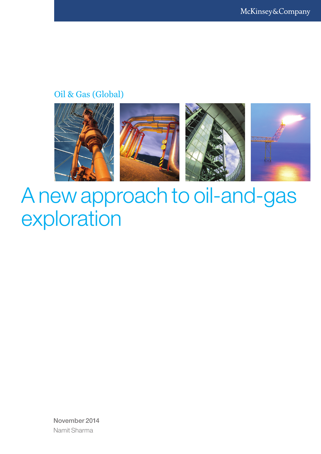### Oil & Gas (Global)



# A new approach to oil-and-gas exploration

November 2014 Namit Sharma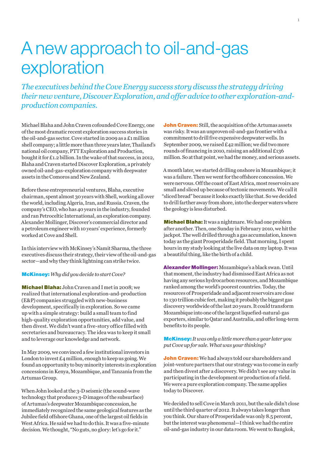## A new approach to oil-and-gas exploration

*The executives behind the Cove Energy success story discuss the strategy driving their new venture, Discover Exploration, and offer advice to other exploration-andproduction companies.*

Michael Blaha and John Craven cofounded Cove Energy, one of the most dramatic recent exploration success stories in the oil-and-gas sector. Cove started in 2009 as a £1 million shell company; a little more than three years later, Thailand's national oil company, PTT Exploration and Production, bought it for £1.2 billion. In the wake of that success, in 2012, Blaha and Craven started Discover Exploration, a privately owned oil-and-gas-exploration company with deepwater assets in the Comoros and New Zealand.

Before these entrepreneurial ventures, Blaha, executive chairman, spent almost 30 years with Shell, working all over the world, including Algeria, Iran, and Russia. Craven, the company's CEO, who has 40 years in the industry, founded and ran Petroceltic International, an exploration company. Alexander Mollinger, Discover's commercial director and a petroleum engineer with 10 years' experience, formerly worked at Cove and Shell.

In this interview with McKinsey's Namit Sharma, the three executives discuss their strategy, their view of the oil-and-gas sector—and why they think lightning can strike twice.

McKinsey: *Why did you decide to start Cove?*

Michael Blaha: John Craven and I met in 2008; we realized that international exploration-and-production (E&P) companies struggled with new-business development, specifically in exploration. So we came up with a simple strategy: build a small team to find high-quality exploration opportunities, add value, and then divest. We didn't want a five-story office filled with secretaries and bureaucracy. The idea was to keep it small and to leverage our knowledge and network.

In May 2009, we convinced a few institutional investors in London to invest  $E_4$  million, enough to keep us going. We found an opportunity to buy minority interests in exploration concessions in Kenya, Mozambique, and Tanzania from the Artumas Group.

When John looked at the 3-D seismic (the sound-wave technology that produces 3-D images of the subsurface) of Artumas's deepwater Mozambique concession, he immediately recognized the same geological features as the Jubilee field offshore Ghana, one of the largest oil fields in West Africa. He said we had to do this. It was a five-minute decision. We thought, "No guts, no glory: let's go for it."

**John Craven:** Still, the acquisition of the Artumas assets was risky. It was an unproven oil-and-gas frontier with a commitment to drill five expensive deepwater wells. In September 2009, we raised £42 million; we did two more rounds of financing in 2010, raising an additional £136 million. So at that point, we had the money, and serious assets.

A month later, we started drilling onshore in Mozambique; it was a failure. Then we went for the offshore concession. We were nervous. Off the coast of East Africa, most reservoirs are small and sliced up because of tectonic movements. We call it "sliced bread" because it looks exactly like that. So we decided to drill farther away from shore, into the deeper waters where the geology is less disturbed.

**Michael Blaha:** It was a nightmare. We had one problem after another. Then, one Sunday in February 2010, we hit the jackpot. The well drilled through a gas accumulation, known today as the giant Prosperidade field. That morning, I spent hours in my study looking at the live data on my laptop. It was a beautiful thing, like the birth of a child.

Alexander Mollinger: Mozambique's a black swan. Until that moment, the industry had dismissed East Africa as not having any serious hydrocarbon resources, and Mozambique ranked among the world's poorest countries. Today, the resources of Prosperidade and adjacent reservoirs are close to 130 trillion cubic feet, making it probably the biggest gas discovery worldwide of the last 20 years. It could transform Mozambique into one of the largest liquefied-natural-gas exporters, similar to Qatar and Australia, and offer long-term benefits to its people.

#### McKinsey: *It was only a little more than a year later you put Cove up for sale. What was your thinking?*

**John Craven:** We had always told our shareholders and joint-venture partners that our strategy was to come in early and then divest after a discovery. We didn't see any value in participating in the development or production of a field. We were a pure exploration company. The same applies today to Discover.

We decided to sell Cove in March 2011, but the sale didn't close until the third quarter of 2012. It always takes longer than you think. Our share of Prosperidade was only 8.5 percent, but the interest was phenomenal—I think we had the entire oil-and-gas industry in our data room. We went to Bangkok,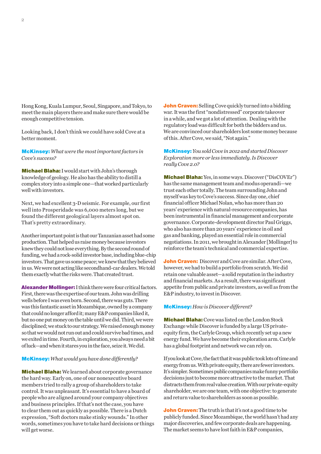Hong Kong, Kuala Lumpur, Seoul, Singapore, and Tokyo, to meet the main players there and make sure there would be enough competitive tension.

Looking back, I don't think we could have sold Cove at a better moment.

McKinsey: *What were the most important factors in Cove's success?*

Michael Blaha: I would start with John's thorough knowledge of geology. He also has the ability to distill a complex story into a simple one—that worked particularly well with investors.

Next, we had excellent 3-D seismic. For example, our first well into Prosperidade was 6,000 meters long, but we found the different geological layers almost spot on. That's pretty extraordinary.

Another important point is that our Tanzanian asset had some production. That helped us raise money because investors knew they could not lose everything. By the second round of funding, we had a rock-solid investor base, including blue-chip investors. That gave us some peace; we knew that they believed in us. We were not acting like secondhand-car dealers. We told them exactly what the risks were. That created trust.

Alexander Mollinger: I think there were four critical factors. First, there was the expertise of our team. John was drilling wells before I was even born. Second, there was guts. There was this fantastic asset in Mozambique, owned by a company that could no longer afford it; many E&P companies liked it, but no one put money on the table until we did. Third, we were disciplined; we stuck to our strategy. We raised enough money so that we would not run out and could survive bad times, and we exited in time. Fourth, in exploration, you always need a bit of luck—and when it stares you in the face, seize it. We did.

#### McKinsey: *What would you have done differently?*

Michael Blaha: We learned about corporate governance the hard way. Early on, one of our nonexecutive board members tried to rally a group of shareholders to take control. It was unpleasant. It's essential to have a board of people who are aligned around your company objectives and business principles. If that's not the case, you have to clear them out as quickly as possible. There is a Dutch expression, "Soft doctors make stinky wounds." In other words, sometimes you have to take hard decisions or things will get worse.

**John Craven:** Selling Cove quickly turned into a bidding war. It was the first "nondistressed" corporate takeover in a while, and we got a lot of attention. Dealing with the regulatory load was difficult for both the bidders and us. We are convinced our shareholders lost some money because of this. After Cove, we said, "Not again."

McKinsey: *You sold Cove in 2012 and started Discover Exploration more or less immediately. Is Discover really Cove 2.0?* 

Michael Blaha: Yes, in some ways. Discover ("DisCOVEr") has the same management team and modus operandi—we trust each other totally. The team surrounding John and myself was key to Cove's success. Since day one, chief financial officer Michael Nolan, who has more than 20 years' experience with natural-resource companies, has been instrumental in financial management and corporate governance. Corporate-development director Paul Griggs, who also has more than 20 years' experience in oil and gas and banking, played an essential role in commercial negotiations. In 2011, we brought in Alexander [Mollinger] to reinforce the team's technical and commercial expertise.

John Craven: Discover and Cove are similar. After Cove, however, we had to build a portfolio from scratch. We did retain one valuable asset—a solid reputation in the industry and financial markets. As a result, there was significant appetite from public and private investors, as well as from the E&P industry, to invest in Discover.

#### McKinsey: *How is Discover different?*

**Michael Blaha:** Cove was listed on the London Stock Exchange while Discover is funded by a large US privateequity firm, the Carlyle Group, which recently set up a new energy fund. We have become their exploration arm. Carlyle has a global footprint and network we can rely on.

If you look at Cove, the fact that it was public took lots of time and energy from us. With private equity, there are fewer investors. It's simpler. Sometimes public companies make funny portfolio decisions just to become more attractive to the market. That distracts them from real value creation. With our private-equity shareholder, we are one team, with one objective: to generate and return value to shareholders as soon as possible.

**John Craven:** The truth is that it's not a good time to be publicly funded. Since Mozambique, the world hasn't had any major discoveries, and few corporate deals are happening. The market seems to have lost faith in E&P companies,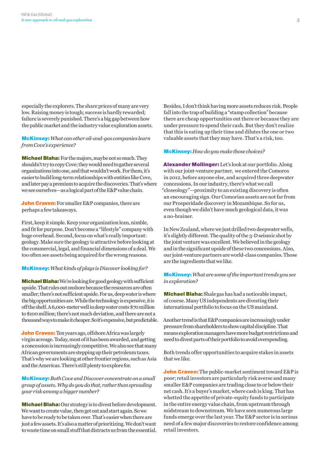especially the explorers. The share prices of many are very low. Raising money is tough; success is hardly rewarded; failure is severely punished. There's a big gap between how the public market and the industry value exploration assets.

McKinsey: *What can other oil-and-gas companies learn from Cove's experience?*

**Michael Blaha:** For the majors, maybe not so much. They shouldn't try to copy Cove; they would need to gather several organizations into one, and that wouldn't work. For them, it's easier to build long-term relationships with entities like Cove, and later pay a premium to acquire the discoveries. That's where we see ourselves—as a logical part of the E&P value chain.

John Craven: For smaller E&P companies, there are perhaps a few takeaways.

First, keep it simple. Keep your organization lean, nimble, and fit for purpose. Don't become a "lifestyle" company with huge overhead. Second, focus on what's really important: geology. Make sure the geology is attractive before looking at the commercial, legal, and financial dimensions of a deal. We too often see assets being acquired for the wrong reasons.

#### McKinsey: *What kinds of plays is Discover looking for?*

Michael Blaha: We're looking for good geology with sufficient upside. That rules out onshore because the resources are often smaller; there's not sufficient upside. For us, deep water is where the big opportunities are. While the technology is expensive, it is off the shelf. A 6,000-meter well in deep water costs \$70 million to \$100 million; there's not much deviation, and there are not a thousand ways to make it cheaper. So it's expensive, but predictable.

John Craven: Ten years ago, offshore Africa was largely virgin acreage. Today, most of it has been awarded, and getting a concession is increasingly competitive. We also see that many African governments are stepping up their petroleum taxes. That's why we are looking at other frontier regions, such as Asia and the Americas. There's still plenty to explore for.

McKinsey: *Both Cove and Discover concentrate on a small group of assets. Why do you do that, rather than spreading your risk among a bigger number?* 

Michael Blaha: Our strategy is to divest before development. We want to create value, then get out and start again. So we have to be ready to be taken over. That's easier when there are just a few assets. It's also a matter of prioritizing. We don't want to waste time on small stuff that distracts us from the essential. Besides, I don't think having more assets reduces risk. People fall into the trap of building a "stamp collection" because there are cheap opportunities out there or because they are under pressure to spend their cash. But they don't realize that this is eating up their time and dilutes the one or two valuable assets that they may have. That's a risk, too.

#### McKinsey: *How do you make those choices?*

Alexander Mollinger: Let's look at our portfolio. Along with our joint-venture partner, we entered the Comoros in 2012, before anyone else, and acquired three deepwater concessions. In our industry, there's what we call "closeology"—proximity to an existing discovery is often an encouraging sign. Our Comorian assets are not far from our Prosperidade discovery in Mozambique. So for us, even though we didn't have much geological data, it was a no-brainer.

In New Zealand, where we just drilled two deepwater wells, it's slightly different. The quality of the 3-D seismic shot by the joint venture was excellent. We believed in the geology and in the significant upside of these two concessions. Also, our joint-venture partners are world-class companies. Those are the ingredients that we like.

McKinsey: *What are some of the important trends you see in exploration?* 

Michael Blaha: Shale gas has had a noticeable impact, of course. Many US independents are divesting their international portfolio to focus on the US mainland.

Another trend is that E&P companies are increasingly under pressure from shareholders to show capital discipline. That means exploration managers have more budget restrictions and need to divest parts of their portfolio to avoid overspending.

Both trends offer opportunities to acquire stakes in assets that we like.

John Craven: The public-market sentiment toward E&P is poor; retail investors are particularly risk averse and many smaller E&P companies are trading close to or below their net cash. It's a buyer's market, where cash is king. That has whetted the appetite of private-equity funds to participate in the entire energy value chain, from upstream through midstream to downstream. We have seen numerous large funds emerge over the last year. The E&P sector is in serious need of a few major discoveries to restore confidence among retail investors.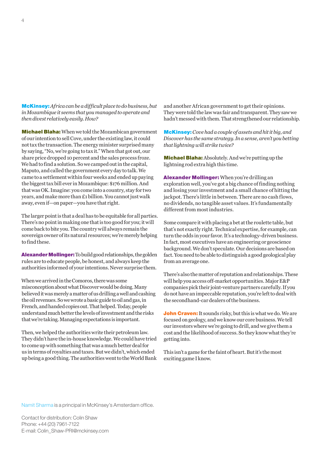McKinsey: *Africa can be a difficult place to do business, but in Mozambique it seems that you managed to operate and then divest relatively easily. How?*

Michael Blaha: When we told the Mozambican government of our intention to sell Cove, under the existing law, it could not tax the transaction. The energy minister surprised many by saying, "No, we're going to tax it." When that got out, our share price dropped 10 percent and the sales process froze. We had to find a solution. So we camped out in the capital, Maputo, and called the government every day to talk. We came to a settlement within four weeks and ended up paying the biggest tax bill ever in Mozambique: \$176 million. And that was OK. Imagine: you come into a country, stay for two years, and make more than £1 billion. You cannot just walk away, even if—on paper—you have that right.

The larger point is that a deal has to be equitable for all parties. There's no point in making one that is too good for you; it will come back to bite you. The country will always remain the sovereign owner of its natural resources; we're merely helping to find these.

Alexander Mollinger: To build good relationships, the golden rules are to educate people, be honest, and always keep the authorities informed of your intentions. Never surprise them.

When we arrived in the Comoros, there was some misconception about what Discover would be doing. Many believed it was merely a matter of us drilling a well and cashing the oil revenues. So we wrote a basic guide to oil and gas, in French, and handed copies out. That helped. Today, people understand much better the levels of investment and the risks that we're taking. Managing expectations is important.

Then, we helped the authorities write their petroleum law. They didn't have the in-house knowledge. We could have tried to come up with something that was a much better deal for us in terms of royalties and taxes. But we didn't, which ended up being a good thing. The authorities went to the World Bank and another African government to get their opinions. They were told the law was fair and transparent. They saw we hadn't messed with them. That strengthened our relationship.

McKinsey: *Cove had a couple of assets and hit it big, and Discover has the same strategy. In a sense, aren't you betting that lightning will strike twice?* 

Michael Blaha: Absolutely. And we're putting up the lightning rod extra high this time.

Alexander Mollinger: When you're drilling an exploration well, you've got a big chance of finding nothing and losing your investment and a small chance of hitting the jackpot. There's little in between. There are no cash flows, no dividends, no tangible asset values. It's fundamentally different from most industries.

Some compare it with placing a bet at the roulette table, but that's not exactly right. Technical expertise, for example, can turn the odds in your favor. It's a technology-driven business. In fact, most executives have an engineering or geoscience background. We don't speculate. Our decisions are based on fact. You need to be able to distinguish a good geological play from an average one.

There's also the matter of reputation and relationships. These will help you access off-market opportunities. Major E&P companies pick their joint-venture partners carefully. If you do not have an impeccable reputation, you're left to deal with the secondhand-car dealers of the business.

**John Craven:** It sounds risky, but this is what we do. We are focused on geology, and we know our core business. We tell our investors where we're going to drill, and we give them a cost and the likelihood of success. So they know what they're getting into.

This isn't a game for the faint of heart. But it's the most exciting game I know.

Namit Sharma is a principal in McKinsey's Amsterdam office.

Contact for distribution: Colin Shaw Phone: +44 (20) 7961-7122 E-mail: Colin\_Shaw-PRI@mckinsey.com